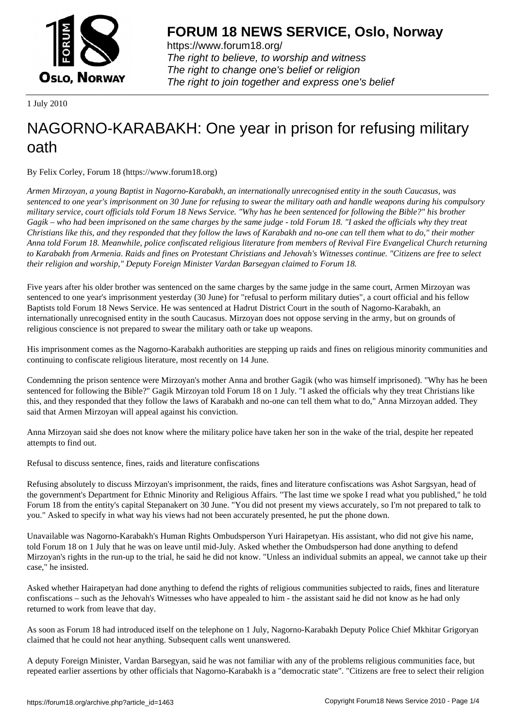

https://www.forum18.org/ The right to believe, to worship and witness The right to change one's belief or religion [The right to join together a](https://www.forum18.org/)nd express one's belief

1 July 2010

# [NAGORNO-KA](https://www.forum18.org)RABAKH: One year in prison for refusing military oath

By Felix Corley, Forum 18 (https://www.forum18.org)

*Armen Mirzoyan, a young Baptist in Nagorno-Karabakh, an internationally unrecognised entity in the south Caucasus, was sentenced to one year's imprisonment on 30 June for refusing to swear the military oath and handle weapons during his compulsory military service, court officials told Forum 18 News Service. "Why has he been sentenced for following the Bible?" his brother Gagik – who had been imprisoned on the same charges by the same judge - told Forum 18. "I asked the officials why they treat Christians like this, and they responded that they follow the laws of Karabakh and no-one can tell them what to do," their mother Anna told Forum 18. Meanwhile, police confiscated religious literature from members of Revival Fire Evangelical Church returning to Karabakh from Armenia. Raids and fines on Protestant Christians and Jehovah's Witnesses continue. "Citizens are free to select their religion and worship," Deputy Foreign Minister Vardan Barsegyan claimed to Forum 18.*

Five years after his older brother was sentenced on the same charges by the same judge in the same court, Armen Mirzoyan was sentenced to one year's imprisonment yesterday (30 June) for "refusal to perform military duties", a court official and his fellow Baptists told Forum 18 News Service. He was sentenced at Hadrut District Court in the south of Nagorno-Karabakh, an internationally unrecognised entity in the south Caucasus. Mirzoyan does not oppose serving in the army, but on grounds of religious conscience is not prepared to swear the military oath or take up weapons.

His imprisonment comes as the Nagorno-Karabakh authorities are stepping up raids and fines on religious minority communities and continuing to confiscate religious literature, most recently on 14 June.

Condemning the prison sentence were Mirzoyan's mother Anna and brother Gagik (who was himself imprisoned). "Why has he been sentenced for following the Bible?" Gagik Mirzoyan told Forum 18 on 1 July. "I asked the officials why they treat Christians like this, and they responded that they follow the laws of Karabakh and no-one can tell them what to do," Anna Mirzoyan added. They said that Armen Mirzoyan will appeal against his conviction.

Anna Mirzoyan said she does not know where the military police have taken her son in the wake of the trial, despite her repeated attempts to find out.

Refusal to discuss sentence, fines, raids and literature confiscations

Refusing absolutely to discuss Mirzoyan's imprisonment, the raids, fines and literature confiscations was Ashot Sargsyan, head of the government's Department for Ethnic Minority and Religious Affairs. "The last time we spoke I read what you published," he told Forum 18 from the entity's capital Stepanakert on 30 June. "You did not present my views accurately, so I'm not prepared to talk to you." Asked to specify in what way his views had not been accurately presented, he put the phone down.

Unavailable was Nagorno-Karabakh's Human Rights Ombudsperson Yuri Hairapetyan. His assistant, who did not give his name, told Forum 18 on 1 July that he was on leave until mid-July. Asked whether the Ombudsperson had done anything to defend Mirzoyan's rights in the run-up to the trial, he said he did not know. "Unless an individual submits an appeal, we cannot take up their case," he insisted.

Asked whether Hairapetyan had done anything to defend the rights of religious communities subjected to raids, fines and literature confiscations – such as the Jehovah's Witnesses who have appealed to him - the assistant said he did not know as he had only returned to work from leave that day.

As soon as Forum 18 had introduced itself on the telephone on 1 July, Nagorno-Karabakh Deputy Police Chief Mkhitar Grigoryan claimed that he could not hear anything. Subsequent calls went unanswered.

A deputy Foreign Minister, Vardan Barsegyan, said he was not familiar with any of the problems religious communities face, but repeated earlier assertions by other officials that Nagorno-Karabakh is a "democratic state". "Citizens are free to select their religion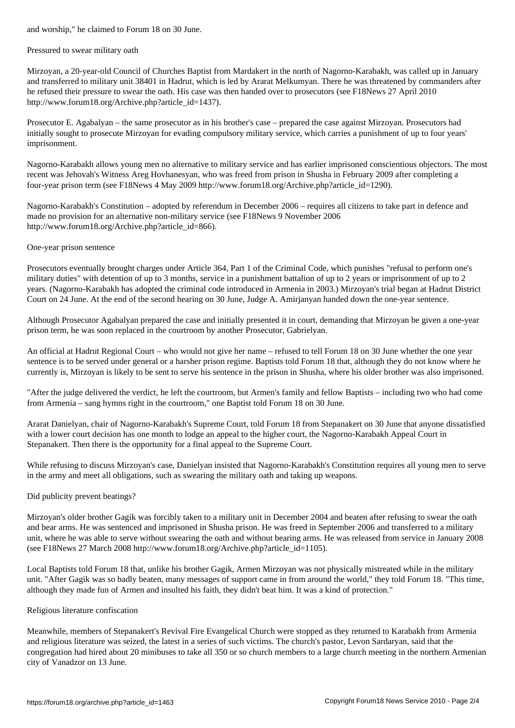#### Pressured to swear military oath

Mirzoyan, a 20-year-old Council of Churches Baptist from Mardakert in the north of Nagorno-Karabakh, was called up in January and transferred to military unit 38401 in Hadrut, which is led by Ararat Melkumyan. There he was threatened by commanders after he refused their pressure to swear the oath. His case was then handed over to prosecutors (see F18News 27 April 2010 http://www.forum18.org/Archive.php?article\_id=1437).

Prosecutor E. Agabalyan – the same prosecutor as in his brother's case – prepared the case against Mirzoyan. Prosecutors had initially sought to prosecute Mirzoyan for evading compulsory military service, which carries a punishment of up to four years' imprisonment.

Nagorno-Karabakh allows young men no alternative to military service and has earlier imprisoned conscientious objectors. The most recent was Jehovah's Witness Areg Hovhanesyan, who was freed from prison in Shusha in February 2009 after completing a four-year prison term (see F18News 4 May 2009 http://www.forum18.org/Archive.php?article\_id=1290).

Nagorno-Karabakh's Constitution – adopted by referendum in December 2006 – requires all citizens to take part in defence and made no provision for an alternative non-military service (see F18News 9 November 2006 http://www.forum18.org/Archive.php?article\_id=866).

## One-year prison sentence

Prosecutors eventually brought charges under Article 364, Part 1 of the Criminal Code, which punishes "refusal to perform one's military duties" with detention of up to 3 months, service in a punishment battalion of up to 2 years or imprisonment of up to 2 years. (Nagorno-Karabakh has adopted the criminal code introduced in Armenia in 2003.) Mirzoyan's trial began at Hadrut District Court on 24 June. At the end of the second hearing on 30 June, Judge A. Amirjanyan handed down the one-year sentence.

Although Prosecutor Agabalyan prepared the case and initially presented it in court, demanding that Mirzoyan be given a one-year prison term, he was soon replaced in the courtroom by another Prosecutor, Gabrielyan.

An official at Hadrut Regional Court – who would not give her name – refused to tell Forum 18 on 30 June whether the one year sentence is to be served under general or a harsher prison regime. Baptists told Forum 18 that, although they do not know where he currently is, Mirzoyan is likely to be sent to serve his sentence in the prison in Shusha, where his older brother was also imprisoned.

"After the judge delivered the verdict, he left the courtroom, but Armen's family and fellow Baptists – including two who had come from Armenia – sang hymns right in the courtroom," one Baptist told Forum 18 on 30 June.

Ararat Danielyan, chair of Nagorno-Karabakh's Supreme Court, told Forum 18 from Stepanakert on 30 June that anyone dissatisfied with a lower court decision has one month to lodge an appeal to the higher court, the Nagorno-Karabakh Appeal Court in Stepanakert. Then there is the opportunity for a final appeal to the Supreme Court.

While refusing to discuss Mirzoyan's case, Danielyan insisted that Nagorno-Karabakh's Constitution requires all young men to serve in the army and meet all obligations, such as swearing the military oath and taking up weapons.

## Did publicity prevent beatings?

Mirzoyan's older brother Gagik was forcibly taken to a military unit in December 2004 and beaten after refusing to swear the oath and bear arms. He was sentenced and imprisoned in Shusha prison. He was freed in September 2006 and transferred to a military unit, where he was able to serve without swearing the oath and without bearing arms. He was released from service in January 2008 (see F18News 27 March 2008 http://www.forum18.org/Archive.php?article\_id=1105).

Local Baptists told Forum 18 that, unlike his brother Gagik, Armen Mirzoyan was not physically mistreated while in the military unit. "After Gagik was so badly beaten, many messages of support came in from around the world," they told Forum 18. "This time, although they made fun of Armen and insulted his faith, they didn't beat him. It was a kind of protection."

#### Religious literature confiscation

Meanwhile, members of Stepanakert's Revival Fire Evangelical Church were stopped as they returned to Karabakh from Armenia and religious literature was seized, the latest in a series of such victims. The church's pastor, Levon Sardaryan, said that the congregation had hired about 20 minibuses to take all 350 or so church members to a large church meeting in the northern Armenian city of Vanadzor on 13 June.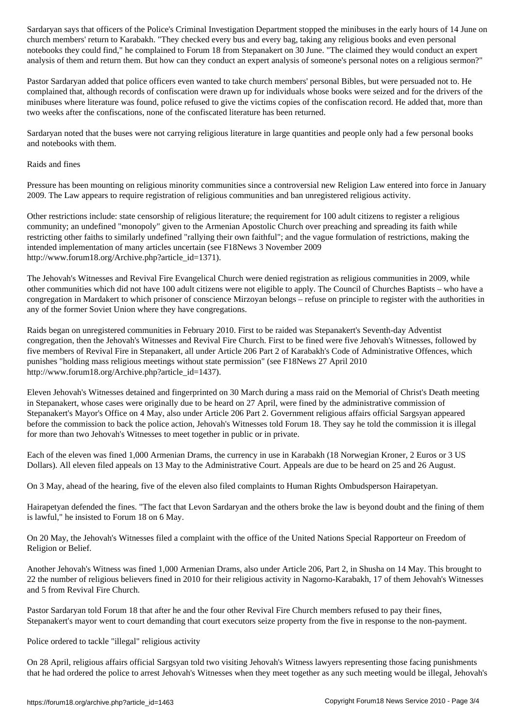church members' return to Karabakh. "They checked every bus and every bag, taking any religious books and even personal notebooks they could find," he complained to Forum 18 from Stepanakert on 30 June. "The claimed they would conduct an expert analysis of them and return them. But how can they conduct an expert analysis of someone's personal notes on a religious sermon?"

Pastor Sardaryan added that police officers even wanted to take church members' personal Bibles, but were persuaded not to. He complained that, although records of confiscation were drawn up for individuals whose books were seized and for the drivers of the minibuses where literature was found, police refused to give the victims copies of the confiscation record. He added that, more than two weeks after the confiscations, none of the confiscated literature has been returned.

Sardaryan noted that the buses were not carrying religious literature in large quantities and people only had a few personal books and notebooks with them.

### Raids and fines

Pressure has been mounting on religious minority communities since a controversial new Religion Law entered into force in January 2009. The Law appears to require registration of religious communities and ban unregistered religious activity.

Other restrictions include: state censorship of religious literature; the requirement for 100 adult citizens to register a religious community; an undefined "monopoly" given to the Armenian Apostolic Church over preaching and spreading its faith while restricting other faiths to similarly undefined "rallying their own faithful"; and the vague formulation of restrictions, making the intended implementation of many articles uncertain (see F18News 3 November 2009 http://www.forum18.org/Archive.php?article\_id=1371).

The Jehovah's Witnesses and Revival Fire Evangelical Church were denied registration as religious communities in 2009, while other communities which did not have 100 adult citizens were not eligible to apply. The Council of Churches Baptists – who have a congregation in Mardakert to which prisoner of conscience Mirzoyan belongs – refuse on principle to register with the authorities in any of the former Soviet Union where they have congregations.

Raids began on unregistered communities in February 2010. First to be raided was Stepanakert's Seventh-day Adventist congregation, then the Jehovah's Witnesses and Revival Fire Church. First to be fined were five Jehovah's Witnesses, followed by five members of Revival Fire in Stepanakert, all under Article 206 Part 2 of Karabakh's Code of Administrative Offences, which punishes "holding mass religious meetings without state permission" (see F18News 27 April 2010 http://www.forum18.org/Archive.php?article\_id=1437).

Eleven Jehovah's Witnesses detained and fingerprinted on 30 March during a mass raid on the Memorial of Christ's Death meeting in Stepanakert, whose cases were originally due to be heard on 27 April, were fined by the administrative commission of Stepanakert's Mayor's Office on 4 May, also under Article 206 Part 2. Government religious affairs official Sargsyan appeared before the commission to back the police action, Jehovah's Witnesses told Forum 18. They say he told the commission it is illegal for more than two Jehovah's Witnesses to meet together in public or in private.

Each of the eleven was fined 1,000 Armenian Drams, the currency in use in Karabakh (18 Norwegian Kroner, 2 Euros or 3 US Dollars). All eleven filed appeals on 13 May to the Administrative Court. Appeals are due to be heard on 25 and 26 August.

On 3 May, ahead of the hearing, five of the eleven also filed complaints to Human Rights Ombudsperson Hairapetyan.

Hairapetyan defended the fines. "The fact that Levon Sardaryan and the others broke the law is beyond doubt and the fining of them is lawful," he insisted to Forum 18 on 6 May.

On 20 May, the Jehovah's Witnesses filed a complaint with the office of the United Nations Special Rapporteur on Freedom of Religion or Belief.

Another Jehovah's Witness was fined 1,000 Armenian Drams, also under Article 206, Part 2, in Shusha on 14 May. This brought to 22 the number of religious believers fined in 2010 for their religious activity in Nagorno-Karabakh, 17 of them Jehovah's Witnesses and 5 from Revival Fire Church.

Pastor Sardaryan told Forum 18 that after he and the four other Revival Fire Church members refused to pay their fines, Stepanakert's mayor went to court demanding that court executors seize property from the five in response to the non-payment.

Police ordered to tackle "illegal" religious activity

On 28 April, religious affairs official Sargsyan told two visiting Jehovah's Witness lawyers representing those facing punishments that he had ordered the police to arrest Jehovah's Witnesses when they meet together as any such meeting would be illegal, Jehovah's